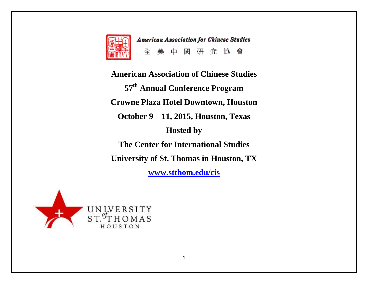

**American Association for Chinese Studies** 全美中 研究協會 或

**American Association of Chinese Studies 57th Annual Conference Program Crowne Plaza Hotel Downtown, Houston October 9 – 11, 2015, Houston, Texas Hosted by The Center for International Studies University of St. Thomas in Houston, TX [www.stthom.edu/cis](http://www.stthom.edu/cis)**

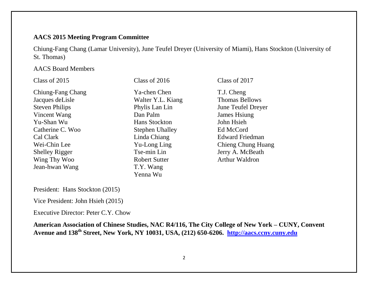## **AACS 2015 Meeting Program Committee**

Chiung-Fang Chang (Lamar University), June Teufel Dreyer (University of Miami), Hans Stockton (University of St. Thomas)

### AACS Board Members

| Class of 2015         | Class of 2016          | Class of 2017          |
|-----------------------|------------------------|------------------------|
| Chiung-Fang Chang     | Ya-chen Chen           | T.J. Cheng             |
| Jacques de Lisle      | Walter Y.L. Kiang      | <b>Thomas Bellows</b>  |
| <b>Steven Philips</b> | Phylis Lan Lin         | June Teufel Dreyer     |
| Vincent Wang          | Dan Palm               | James Hsiung           |
| Yu-Shan Wu            | Hans Stockton          | John Hsieh             |
| Catherine C. Woo      | <b>Stephen Uhalley</b> | Ed McCord              |
| Cal Clark             | Linda Chiang           | <b>Edward Friedman</b> |
| Wei-Chin Lee          | Yu-Long Ling           | Chieng Chung Huang     |
| <b>Shelley Rigger</b> | Tse-min Lin            | Jerry A. McBeath       |
| Wing Thy Woo          | <b>Robert Sutter</b>   | <b>Arthur Waldron</b>  |
| Jean-hwan Wang        | T.Y. Wang              |                        |
|                       | Yenna Wu               |                        |

President: Hans Stockton (2015)

Vice President: John Hsieh (2015)

Executive Director: Peter C.Y. Chow

**American Association of Chinese Studies, NAC R4/116, The City College of New York – CUNY, Convent Avenue and 138th Street, New York, NY 10031, USA, (212) 650-6206. [http://aacs.ccny.cuny.edu](http://aacs.ccny.cuny.edu/)**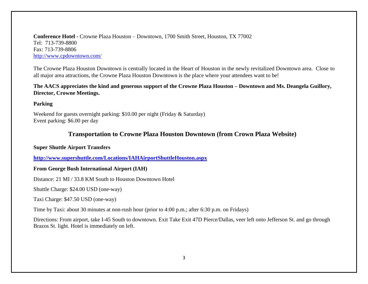**Conference Hotel -** Crowne Plaza Houston – Downtown, 1700 Smith Street, Houston, TX 77002 Tel: 713-739-8800 Fax: 713-739-8806 <http://www.cpdowntown.com/>

The Crowne Plaza Houston Downtown is centrally located in the Heart of Houston in the newly revitalized Downtown area. Close to all major area attractions, the Crowne Plaza Houston Downtown is the place where your attendees want to be!

**The AACS appreciates the kind and generous support of the Crowne Plaza Houston – Downtown and Ms. Deangela Guillory, Director, Crowne Meetings.**

### **Parking**

Weekend for guests overnight parking: \$10.00 per night (Friday & Saturday) Event parking: \$6.00 per day

### **Transportation to Crowne Plaza Houston Downtown (from Crown Plaza Website)**

### **Super Shuttle Airport Transfers**

**<http://www.supershuttle.com/Locations/IAHAirportShuttleHouston.aspx>**

### **From George Bush International Airport (IAH)**

Distance: 21 MI / 33.8 KM South to Houston Downtown Hotel

Shuttle Charge: \$24.00 USD (one-way)

Taxi Charge: \$47.50 USD (one-way)

Time by Taxi: about 30 minutes at non-rush hour (prior to 4:00 p.m.; after 6:30 p.m. on Fridays)

Directions: From airport, take I-45 South to downtown. Exit Take Exit 47D Pierce/Dallas, veer left onto Jefferson St. and go through Brazos St. light. Hotel is immediately on left.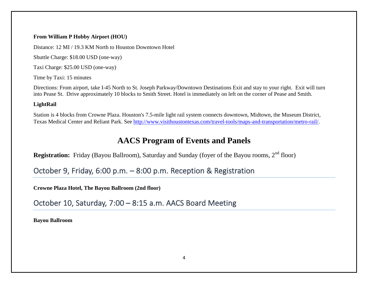### **From William P Hobby Airport (HOU)**

Distance: 12 MI / 19.3 KM North to Houston Downtown Hotel

Shuttle Charge: \$18.00 USD (one-way)

Taxi Charge: \$25.00 USD (one-way)

Time by Taxi: 15 minutes

Directions: From airport, take I-45 North to St. Joseph Parkway/Downtown Destinations Exit and stay to your right. Exit will turn into Pease St. Drive approximately 10 blocks to Smith Street. Hotel is immediately on left on the corner of Pease and Smith.

### **LightRail**

Station is 4 blocks from Crowne Plaza. Houston's 7.5-mile light rail system connects downtown, Midtown, the Museum District, Texas Medical Center and Reliant Park. See [http://www.visithoustontexas.com/travel-tools/maps-and-transportation/metro-rail/.](http://www.visithoustontexas.com/travel-tools/maps-and-transportation/metro-rail/)

# **AACS Program of Events and Panels**

**Registration:** Friday (Bayou Ballroom), Saturday and Sunday (foyer of the Bayou rooms, 2<sup>nd</sup> floor)

October 9, Friday, 6:00 p.m. – 8:00 p.m. Reception & Registration

**Crowne Plaza Hotel, The Bayou Ballroom (2nd floor)**

October 10, Saturday, 7:00 – 8:15 a.m. AACS Board Meeting

**Bayou Ballroom**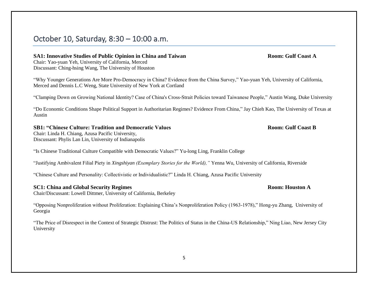## October 10, Saturday, 8:30 – 10:00 a.m.

### **SA1: Innovative Studies of Public Opinion in China and Taiwan Room: Gulf Coast A**

Chair: Yao-yuan Yeh, University of California, Merced Discussant: Ching-hsing Wang, The University of Houston

"Why Younger Generations Are More Pro-Democracy in China? Evidence from the China Survey," Yao-yuan Yeh, University of California, Merced and Dennis L.C Weng, State University of New York at Cortland

"Clamping Down on Growing National Identity? Case of China's Cross-Strait Policies toward Taiwanese People," Austin Wang, Duke University

"Do Economic Conditions Shape Political Support in Authoritarian Regimes? Evidence From China," Jay Chieh Kao, The University of Texas at Austin

### **SB1: "Chinese Culture: Tradition and Democratic Values Room: Gulf Coast B**

Chair: Linda H. Chiang, Azusa Pacific University, Discussant: Phylis Lan Lin, University of Indianapolis

"Is Chinese Traditional Culture Compatible with Democratic Values?" Yu-long Ling, Franklin College

"Justifying Ambivalent Filial Piety in *Xingshiyan (Exemplary Stories for the World),"* Yenna Wu, University of California, Riverside

"Chinese Culture and Personality: Collectivistic or Individualistic?" Linda H. Chiang, Azusa Pacific University

### **SC1: China and Global Security Regimes Room: Houston A**

Chair/Discussant: Lowell Dittmer, University of California, Berkeley

"Opposing Nonproliferation without Proliferation: Explaining China's Nonproliferation Policy (1963-1978)," Hong-yu Zhang, University of Georgia

"The Price of Disrespect in the Context of Strategic Distrust: The Politics of Status in the China-US Relationship," Ning Liao, New Jersey City University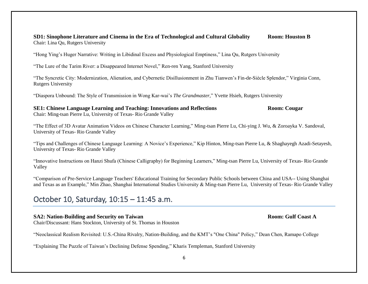### **SD1: Sinophone Literature and Cinema in the Era of Technological and Cultural Globality Room: Houston B** Chair: Lina Qu, Rutgers University

"Hong Ying's Huger Narrative: Writing in Libidinal Excess and Physiological Emptiness," Lina Qu, Rutgers University

"The Lure of the Tarim River: a Disappeared Internet Novel," Ren-ren Yang, Stanford University

"The Syncretic City: Modernization, Alienation, and Cybernetic Disillusionment in Zhu Tianwen's Fin-de-Siècle Splendor," Virginia Conn, Rutgers University

"Diaspora Unbound: The Style of Transmission in Wong Kar-wai's *The Grandmaster,*" Yvette Hsieh, Rutgers University

**SE1: Chinese Language Learning and Teaching: Innovations and Reflections Room: Cougar** Chair: Ming-tsan Pierre Lu, University of Texas- Rio Grande Valley

"The Effect of 3D Avatar Animation Videos on Chinese Character Learning," Ming-tsan Pierre Lu, Chi-ying J. Wu, & Zoroayka V. Sandoval, University of Texas- Rio Grande Valley

"Tips and Challenges of Chinese Language Learning: A Novice's Experience," Kip Hinton, Ming-tsan Pierre Lu, & Shaghayegh Azadi-Setayesh, University of Texas- Rio Grande Valley

"Innovative Instructions on Hanzi Shufa (Chinese Calligraphy) for Beginning Learners," Ming-tsan Pierre Lu, University of Texas- Rio Grande Valley

"Comparison of Pre-Service Language Teachers' Educational Training for Secondary Public Schools between China and USA-- Using Shanghai and Texas as an Example," Min Zhao, Shanghai International Studies University & Ming-tsan Pierre Lu, University of Texas- Rio Grande Valley

## October 10, Saturday, 10:15 – 11:45 a.m.

### **SA2: Nation-Building and Security on Taiwan Room: Gulf Coast A**

Chair/Discussant: Hans Stockton, University of St. Thomas in Houston

"Neoclassical Realism Revisited: U.S.-China Rivalry, Nation-Building, and the KMT's "One China" Policy," Dean Chen, Ramapo College

"Explaining The Puzzle of Taiwan's Declining Defense Spending," Kharis Templeman, Stanford University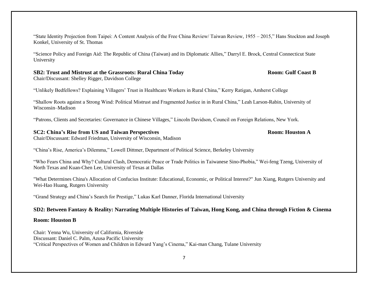"State Identity Projection from Taipei: A Content Analysis of the Free China Review/ Taiwan Review, 1955 – 2015," Hans Stockton and Joseph Konkel, University of St. Thomas

"Science Policy and Foreign Aid: The Republic of China (Taiwan) and its Diplomatic Allies," Darryl E. Brock, Central Connecticut State University

### **SB2: Trust and Mistrust at the Grassroots: Rural China Today <b>Room: Gulf Coast B** Room: Gulf Coast B

Chair/Discussant: Shelley Rigger, Davidson College

"Unlikely Bedfellows? Explaining Villagers' Trust in Healthcare Workers in Rural China," Kerry Ratigan, Amherst College

"Shallow Roots against a Strong Wind: Political Mistrust and Fragmented Justice in in Rural China," Leah Larson-Rabin, University of Wisconsin–Madison

"Patrons, Clients and Secretaries: Governance in Chinese Villages," Lincoln Davidson, Council on Foreign Relations, New York.

### **SC2: China's Rise from US and Taiwan Perspectives Room: Houston A**

Chair/Discussant: Edward Friedman, University of Wisconsin, Madison

"China's Rise, America's Dilemma," Lowell Dittmer, Department of Political Science, Berkeley University

"Who Fears China and Why? Cultural Clash, Democratic Peace or Trade Politics in Taiwanese Sino-Phobia," Wei-feng Tzeng, University of North Texas and Kuan-Chen Lee, University of Texas at Dallas

"What Determines China's Allocation of Confucius Institute: Educational, Economic, or Political Interest?" Jun Xiang, Rutgers University and Wei-Hao Huang, Rutgers University

"Grand Strategy and China's Search for Prestige," Lukas Karl Danner, Florida International University

### **SD2: Between Fantasy & Reality: Narrating Multiple Histories of Taiwan, Hong Kong, and China through Fiction & Cinema**

### **Room: Houston B**

Chair: Yenna Wu, University of California, Riverside Discussant: Daniel C. Palm, Azusa Pacific University "Critical Perspectives of Women and Children in Edward Yang's Cinema," Kai-man Chang, Tulane University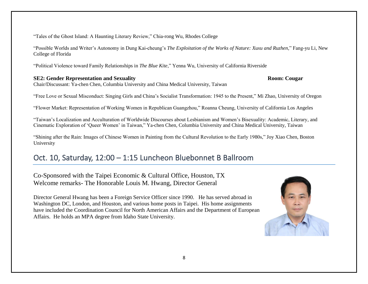"Tales of the Ghost Island: A Haunting Literary Review," Chia-rong Wu, Rhodes College

"Possible Worlds and Writer's Autonomy in Dung Kai-cheung's *The Exploitation of the Works of Nature: Xuxu and Ruzhen,*" Fang-yu Li, New College of Florida

"Political Violence toward Family Relationships in *The Blue Kite*," Yenna Wu, University of California Riverside

### **SE2: Gender Representation and Sexuality Room: Cougar**

Chair/Discussant: Ya-chen Chen, Columbia University and China Medical University, Taiwan

"Free Love or Sexual Misconduct: Singing Girls and China's Socialist Transformation: 1945 to the Present," Mi Zhao, University of Oregon

"Flower Market: Representation of Working Women in Republican Guangzhou," Roanna Cheung, University of California Los Angeles

"Taiwan's Localization and Acculturation of Worldwide Discourses about Lesbianism and Women's Bisexuality: Academic, Literary, and Cinematic Exploration of 'Queer Women' in Taiwan," Ya-chen Chen, Columbia University and China Medical University, Taiwan

"Shining after the Rain: Images of Chinese Women in Painting from the Cultural Revolution to the Early 1980s," Joy Xiao Chen, Boston University

# Oct. 10, Saturday, 12:00 – 1:15 Luncheon Bluebonnet B Ballroom

Co-Sponsored with the Taipei Economic & Cultural Office, Houston, TX Welcome remarks- The Honorable Louis M. Hwang, Director General

Director General Hwang has been a Foreign Service Officer since 1990. He has served abroad in Washington DC, London, and Houston, and various home posts in Taipei. His home assignments have included the Coordination Council for North American Affairs and the Department of European Affairs. He holds an MPA degree from Idaho State University.

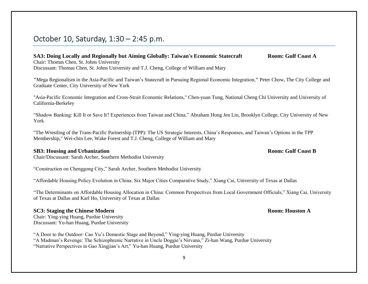## October 10, Saturday, 1:30 – 2:45 p.m.

### **SA3: Doing Locally and Regionally but Aiming Globally: Taiwan's Economic Statecraft Room: Gulf Coast A** Chair: Thomas Chen, St. Johns University

Discussant: Thomas Chen, St. Johns University and T.J. Cheng, College of William and Mary

**"**Mega Regionalism in the Asia-Pacific and Taiwan's Statecraft in Pursuing Regional Economic Integration,**"** Peter Chow, The City College and Graduate Center, City University of New York

"Asia-Pacific Economic Integration and Cross-Strait Economic Relations," Chen-yuan Tung, National Cheng Chi University and University of California-Berkeley

"Shadow Banking: Kill It or Save It? Experiences from Taiwan and China," Abraham Hong Jen Lin, Brooklyn College, City University of New York

"The Wrestling of the Trans-Pacific Partnership (TPP): The US Strategic Interests, China's Responses, and Taiwan's Options in the TPP Membership," Wei-chin Lee, Wake Forest and T.J. Cheng, College of William and Mary

### **SB3: Housing and Urbanization Room:** Gulf Coast B

Chair/Discussant: Sarah Archer, Southern Methodist University

"Construction on Chenggong City," Sarah Archer, Southern Methodist University

"Affordable Housing Policy Evolution in China: Six Major Cities Comparative Study," Xiang Cai, University of Texas at Dallas

"The Determinants on Affordable Housing Allocation in China: Common Perspectives from Local Government Officials," Xiang Cai, University of Texas at Dallas and Karl Ho, University of Texas at Dallas

### **SC3:** Staging the Chinese Modern **Room: Room: Room: Room: Room: A**

Chair: Ying-ying Huang, Purdue University Discussant: Yu-han Huang, Purdue University

"A Door to the Outdoor: Cao Yu's Domestic Stage and Beyond," Ying-ying Huang, Purdue University "A Madman's Revenge: The Schizophrenic Narrative in Uncle Doggie's Nirvana," Zi-han Wang, Purdue University "Narrative Perspectives in Gao Xingjian's Art," Yu-han Huang, Purdue University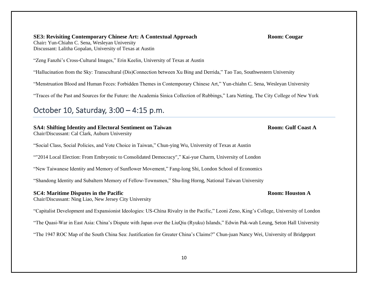**SE3: Revisiting Contemporary Chinese Art: A Contextual Approach Room: Cougar** Chair**:** Yun-Chiahn C. Sena, Wesleyan University Discussant: Lalitha Gopalan, University of Texas at Austin

"Zeng Fanzhi's Cross-Cultural Images," Erin Keelin, University of Texas at Austin

"Hallucination from the Sky: Transcultural (Dis)Connection between Xu Bing and Derrida," Tao Tao, Southwestern University

"Menstruation Blood and Human Feces: Forbidden Themes in Contemporary Chinese Art," Yun-chiahn C. Sena, Wesleyan University

"Traces of the Past and Sources for the Future: the Academia Sinica Collection of Rubbings," Lara Netting, The City College of New York

# October 10, Saturday, 3:00 – 4:15 p.m.

### **SA4: Shifting Identity and Electoral Sentiment on Taiwan Room: Gulf Coast A**

Chair/Discussant: Cal Clark, Auburn University

"Social Class, Social Policies, and Vote Choice in Taiwan," Chun-ying Wu, University of Texas at Austin

""2014 Local Election: From Embryonic to Consolidated Democracy"," Kai-yue Charm, University of London

"New Taiwanese Identity and Memory of Sunflower Movement," Fang-long Shi, London School of Economics

"Shandong Identity and Subaltern Memory of Fellow-Townsmen," Shu-ling Horng, National Taiwan University

### **SC4: Maritime Disputes in the Pacific Room: Houston A**

Chair/Discussant: Ning Liao, New Jersey City University

"Capitalist Development and Expansionist Ideologies: US-China Rivalry in the Pacific," Leoni Zeno, King's College, University of London

"The Quasi-War in East Asia: China's Dispute with Japan over the LiuQiu (Ryuku) Islands," Edwin Pak-wah Leung, Seton Hall University

"The 1947 ROC Map of the South China Sea: Justification for Greater China's Claims?" Chun-juan Nancy Wei, University of Bridgeport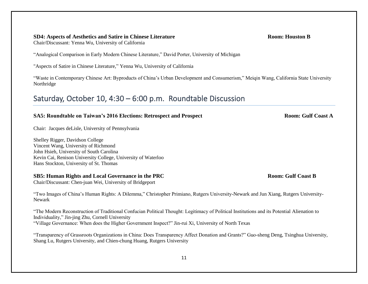### **SD4: Aspects of Aesthetics and Satire in Chinese Literature Room: Houston B**

Chair/Discussant: Yenna Wu, University of California

"Analogical Comparison in Early Modern Chinese Literature," David Porter, University of Michigan

"Aspects of Satire in Chinese Literature," Yenna Wu, University of California

"Waste in Contemporary Chinese Art: Byproducts of China's Urban Development and Consumerism," Meiqin Wang, California State University Northridge

# Saturday, October 10, 4:30 – 6:00 p.m. Roundtable Discussion

### **SA5:** Roundtable on Taiwan's 2016 Elections: Retrospect and Prospect **Room:** Gulf Coast A

Chair: Jacques deLisle, University of Pennsylvania

Shelley Rigger, Davidson College Vincent Wang, University of Richmond John Hsieh, University of South Carolina Kevin Cai, Renison University College, University of Waterloo Hans Stockton, University of St. Thomas

### **SB5: Human Rights and Local Governance in the PRC Room: Gulf Coast B**

Chair/Discussant: Chen-juan Wei, University of Bridgeport

"Two Images of China's Human Rights: A Dilemma," Christopher Primiano, Rutgers University-Newark and Jun Xiang, Rutgers University-Newark

"The Modern Reconstruction of Traditional Confucian Political Thought: Legitimacy of Political Institutions and its Potential Alienation to Individuality," Jin-jing Zhu, Cornell University "Village Governance: When does the Higher Government Inspect?" Jin-rui Xi, University of North Texas

"Transparency of Grassroots Organizations in China: Does Transparency Affect Donation and Grants?" Guo-sheng Deng, Tsinghua University, Shang Lu, Rutgers University, and Chien-chung Huang, Rutgers University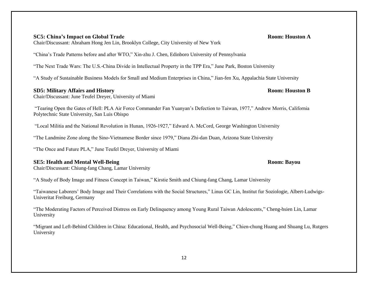Chair/Discussant: Abraham Hong Jen Lin, Brooklyn College, City University of New York

"China's Trade Patterns before and after WTO," Xin-zhu J. Chen, Edinboro University of Pennsylvania

"The Next Trade Wars: The U.S.-China Divide in Intellectual Property in the TPP Era," June Park, Boston University

**SD5: Military Affairs and History Room: Houston B**

"Tearing Open the Gates of Hell: PLA Air Force Commander Fan Yuanyan's Defection to Taiwan, 1977," Andrew Morris, California

"The Landmine Zone along the Sino-Vietnamese Border since 1979," Diana Zhi-dan Duan, Arizona State University

"Local Militia and the National Revolution in Hunan, 1926-1927," Edward A. McCord, George Washington University

"The Once and Future PLA," June Teufel Dreyer, University of Miami

### **SE5: Health and Mental Well-Being Room: Bayou**

Polytechnic State University, San Luis Obispo

Chair/Discussant: Chiung-fang Chang, Lamar University

Chair/Discussant: June Teufel Dreyer, University of Miami

"A Study of Body Image and Fitness Concept in Taiwan," Kirstie Smith and Chiung-fang Chang, Lamar University

"Taiwanese Laborers' Body Image and Their Correlations with the Social Structures," Linus GC Lin, Institut fur Soziologie, Albert-Ludwigs-Univeritat Freiburg, Germany

"The Moderating Factors of Perceived Distress on Early Delinquency among Young Rural Taiwan Adolescents," Cheng-hsien Lin, Lamar University

"Migrant and Left-Behind Children in China: Educational, Health, and Psychosocial Well-Being," Chien-chung Huang and Shuang Lu, Rutgers University

### 12

### **SC5: China's Impact on Global Trade Room: Houston A**

# "A Study of Sustainable Business Models for Small and Medium Enterprises in China," Jian-fen Xu, Appalachia State University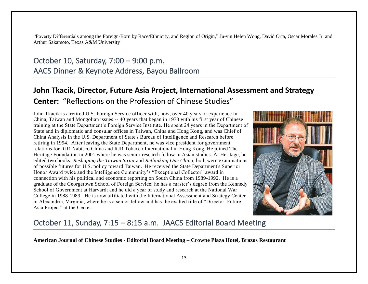"Poverty Differentials among the Foreign-Born by Race/Ethnicity, and Region of Origin," Ju-yin Helen Wong, David Orta, Oscar Morales Jr. and Arthur Sakamoto, Texas A&M University

# October 10, Saturday, 7:00 – 9:00 p.m. AACS Dinner & Keynote Address, Bayou Ballroom

# **John Tkacik, Director, Future Asia Project, International Assessment and Strategy Center:** "Reflections on the Profession of Chinese Studies"

John Tkacik is a retired U.S. Foreign Service officer with, now, over 40 years of experience in China, Taiwan and Mongolian issues -- 40 years that began in 1973 with his first year of Chinese training at the State Department's Foreign Service Institute. He spent 24 years in the Department of State and in diplomatic and consular offices in Taiwan, China and Hong Kong, and was Chief of China Analysis in the U.S. Department of State's Bureau of Intelligence and Research before retiring in 1994. After leaving the State Department, he was vice president for government relations for RJR-Nabisco China and RJR Tobacco International in Hong Kong. He joined The Heritage Foundation in 2001 where he was senior research fellow in Asian studies. At Heritage, he edited two books: *Reshaping the Taiwan Strait* and *Rethinking One China,* both were examinations of possible futures for U.S. policy toward Taiwan. He received the State Department's Superior Honor Award twice and the Intelligence Community's "Exceptional Collector" award in connection with his political and economic reporting on South China from 1989-1992. He is a graduate of the Georgetown School of Foreign Service; he has a master's degree from the Kennedy School of Government at Harvard; and he did a year of study and research at the National War College in 1988-1989. He is now affiliated with the International Assessment and Strategy Center in Alexandria, Virginia, where he is a senior fellow and has the exalted title of "Director, Future Asia Project" at the Center.



## October 11, Sunday, 7:15 – 8:15 a.m. JAACS Editorial Board Meeting

**American Journal of Chinese Studies - Editorial Board Meeting – Crowne Plaza Hotel, Brazos Restaurant**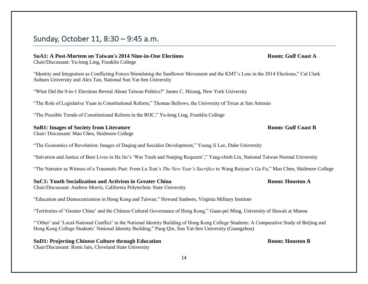## Sunday, October 11, 8:30 – 9:45 a.m.

### **SuA1: A Post-Mortem on Taiwan's 2014 Nine-in-One Elections Room: Gulf Coast A**

Chair/Discussant: Yu-long Ling, Franklin College

"Identity and Integration as Conflicting Forces Stimulating the Sunflower Movement and the KMT's Loss in the 2014 Elections," Cal Clark Auburn University and Alex Tan, National Sun Yat-Sen University

"What Did the 9-in-1 Elections Reveal About Taiwan Politics?" James C. Hsiung, New York University

"The Role of Legislative Yuan in Constitutional Reform," Thomas Bellows, the University of Texas at San Antonio

"The Possible Trends of Constitutional Reform in the ROC," Yu-long Ling, Franklin College

### **SuB1: Images of Society from Literature Room: Gulf Coast B**

Chair/ Discussant: Mao Chen, Skidmore College

"The Economics of Revolution: Images of Daqing and Socialist Development," Young Ji Lee, Duke University

"Salvation and Justice of Bare Lives in Ha Jin's 'War Trash and Nanjing Requiem'," Yang-chieh Lin, National Taiwan Normal University

"The Narrator as Witness of a Traumatic Past: From Lu Xun's *The New Year's Sacrifice* to Wang Ruiyun's *Gu Fu*," Mao Chen, Skidmore College

### **SuC1: Youth Socialization and Activism in Greater China Room: Houston A**

Chair/Discussant: Andrew Morris, California Polytechnic State University

"Education and Democratization in Hong Kong and Taiwan," Howard Sanborn, Virginia Military Institute

"Territories of 'Greater China' and the Chinese Cultural Governance of Hong Kong," Guan-pei Ming, University of Hawaii at Manoa

"'Other' and 'Local-National Conflict' in the National Identity Building of Hong Kong College Students: A Comparative Study of Beijing and Hong Kong College Students' National Identity Building," Pang Qin, Sun Yat-Sen University (Guangzhou)

# **SuD1: Projecting Chinese Culture through Education Room: Houston B**

Chair/Discussant: Romi Jain, Cleveland State University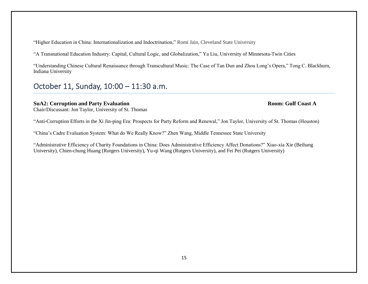"Higher Education in China: Internationalization and Indoctrination," Romi Jain, Cleveland State University

"A Transnational Education Industry: Capital, Cultural Logic, and Globalization," Ya Liu, University of Minnesota-Twin Cities

"Understanding Chinese Cultural Renaissance through Transcultural Music: The Case of Tan Dun and Zhou Long's Opera," Tong C. Blackburn, Indiana University

# October 11, Sunday, 10:00 – 11:30 a.m.

### **SuA2: Corruption and Party Evaluation Room: Gulf Coast A**

Chair/Discussant: Jon Taylor, University of St. Thomas

"Anti-Corruption Efforts in the Xi Jin-ping Era: Prospects for Party Reform and Renewal," Jon Taylor, University of St. Thomas (Houston)

"China's Cadre Evaluation System: What do We Really Know?" Zhen Wang, Middle Tennessee State University

"Administrative Efficiency of Charity Foundations in China: Does Administrative Efficiency Affect Donations?" Xiao-xia Xie (Beihang University), Chien-chung Huang (Rutgers University), Yu-qi Wang (Rutgers University), and Fei Pei (Rutgers University)